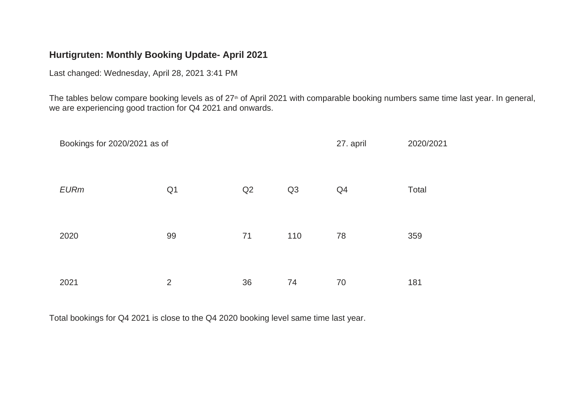## **Hurtigruten: Monthly Booking Update- April 2021**

Last changed: Wednesday, April 28, 2021 3:41 PM

The tables below compare booking levels as of 27<sup>th</sup> of April 2021 with comparable booking numbers same time last year. In general, we are experiencing good traction for Q4 2021 and onwards.

| Bookings for 2020/2021 as of | 27. april      | 2020/2021 |     |    |       |
|------------------------------|----------------|-----------|-----|----|-------|
| <b>EURm</b>                  | Q <sub>1</sub> | Q2        | Q3  | Q4 | Total |
| 2020                         | 99             | 71        | 110 | 78 | 359   |
| 2021                         | $\overline{2}$ | 36        | 74  | 70 | 181   |

Total bookings for Q4 2021 is close to the Q4 2020 booking level same time last year.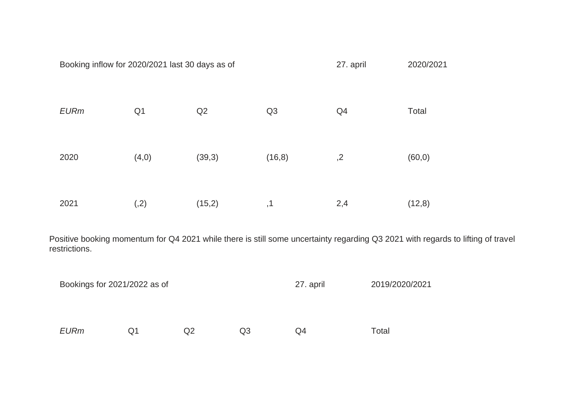|                                                                                                                                                  | Booking inflow for 2020/2021 last 30 days as of |                |        |    |         | 27. april |     | 2020/2021      |         |
|--------------------------------------------------------------------------------------------------------------------------------------------------|-------------------------------------------------|----------------|--------|----|---------|-----------|-----|----------------|---------|
|                                                                                                                                                  | <b>EURm</b>                                     | Q <sub>1</sub> | Q2     |    | Q3      |           | Q4  |                | Total   |
|                                                                                                                                                  | 2020                                            | (4,0)          | (39,3) |    | (16, 8) |           | ,2  |                | (60, 0) |
|                                                                                                                                                  | 2021                                            | (2)            | (15,2) |    | ,1      |           | 2,4 |                | (12,8)  |
| Positive booking momentum for Q4 2021 while there is still some uncertainty regarding Q3 2021 with regards to lifting of travel<br>restrictions. |                                                 |                |        |    |         |           |     |                |         |
|                                                                                                                                                  | Bookings for 2021/2022 as of                    |                |        |    |         | 27. april |     | 2019/2020/2021 |         |
|                                                                                                                                                  | <b>EURm</b>                                     | Q <sub>1</sub> | Q2     | Q3 |         | Q4        |     | Total          |         |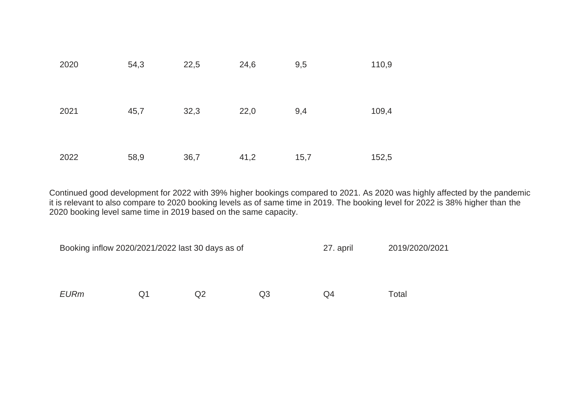| 2020 | 54,3 | 22,5 | 24,6 | 9,5  | 110,9 |
|------|------|------|------|------|-------|
| 2021 | 45,7 | 32,3 | 22,0 | 9,4  | 109,4 |
| 2022 | 58,9 | 36,7 | 41,2 | 15,7 | 152,5 |

Continued good development for 2022 with 39% higher bookings compared to 2021. As 2020 was highly affected by the pandemic it is relevant to also compare to 2020 booking levels as of same time in 2019. The booking level for 2022 is 38% higher than the 2020 booking level same time in 2019 based on the same capacity.

| Booking inflow 2020/2021/2022 last 30 days as of |    |    | 27. april | 2019/2020/2021 |       |
|--------------------------------------------------|----|----|-----------|----------------|-------|
|                                                  |    |    |           |                |       |
|                                                  |    |    |           |                |       |
| <b>EURm</b>                                      | Q1 | Q2 | Q3        | Q4             | Total |